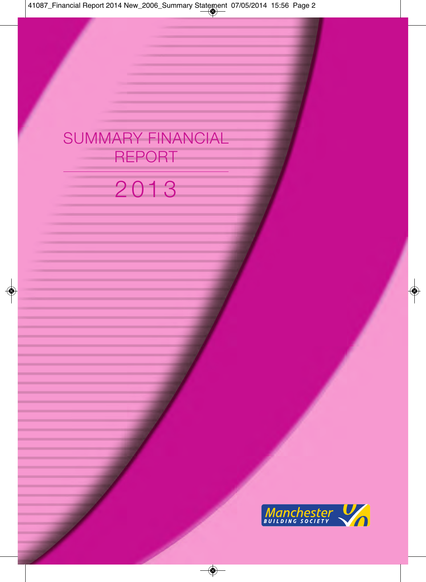## SUMMARY FINANCIAL REPORT

# 2 01 3

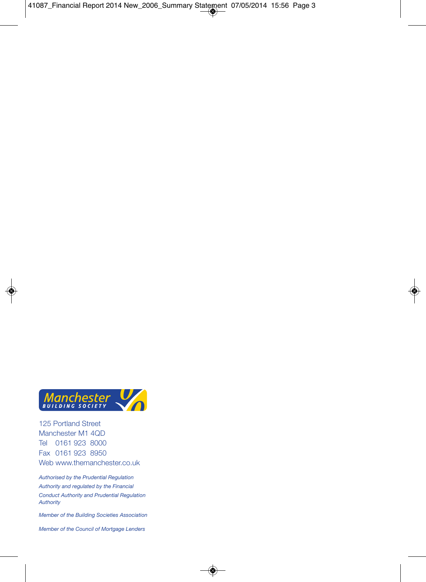

125 Portland Street Manchester M1 4QD Tel 0161 923 8000 Fax 0161 923 8950 Web www.themanchester.co.uk

*Authorised by the Prudential Regulation Authority and regulated by the Financial Conduct Authority and Prudential Regulation Authority*

*Member of the Building Societies Association*

*Member of the Council of Mortgage Lenders*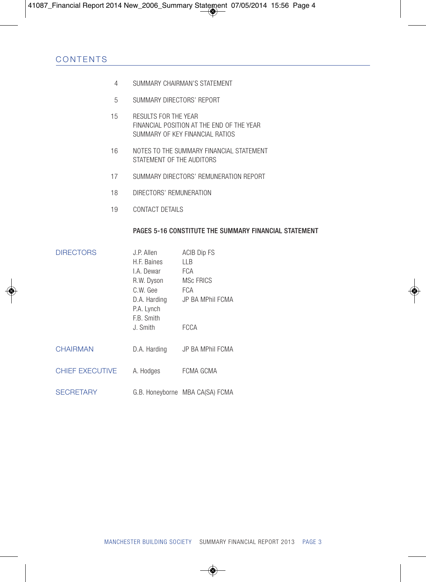- 4 SUMMARY CHAIRMAN'S STATEMENT
- 5 SUMMARY DIRECTORS' REPORT
- 15 RESULTS FOR THE YEAR FINANCIAL POSITION AT THE END OF THE YEAR SUMMARY OF KEY FINANCIAL RATIOS
- 16 NOTES TO THE SUMMARY FINANCIAL STATEMENT STATEMENT OF THE AUDITORS
- 17 SUMMARY DIRECTORS' REMUNERATION REPORT
- 18 DIRECTORS' REMUNERATION
- 19 CONTACT DETAILS

#### PAGES 5-16 CONSTITUTE THE SUMMARY FINANCIAL STATEMENT

| <b>DIRECTORS</b>       | J.P. Allen                               | <b>ACIB Dip FS</b>              |
|------------------------|------------------------------------------|---------------------------------|
|                        | H.F. Baines                              | ШB                              |
|                        | I.A. Dewar                               | FCA                             |
|                        | R.W. Dyson                               | MSc FRICS                       |
|                        | C.W. Gee                                 | <b>FCA</b>                      |
|                        | D.A. Harding<br>P.A. Lynch<br>F.B. Smith | JP BA MPhil FCMA                |
|                        | J. Smith                                 | <b>FCCA</b>                     |
| <b>CHAIRMAN</b>        | D.A. Harding                             | JP BA MPhil FCMA                |
| <b>CHIEF EXECUTIVE</b> | A. Hodges                                | FCMA GCMA                       |
| <b>SECRETARY</b>       |                                          | G.B. Honeyborne MBA CA(SA) FCMA |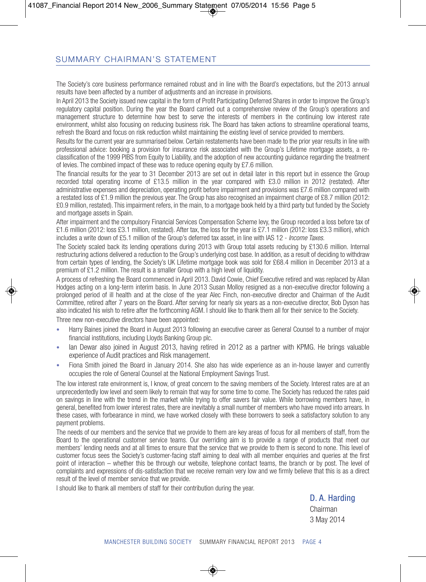## SUMMARY CHAIRMAN'S STATEMENT

The Society's core business performance remained robust and in line with the Board's expectations, but the 2013 annual results have been affected by a number of adjustments and an increase in provisions.

In April 2013 the Society issued new capital in the form of Profit Participating Deferred Shares in order to improve the Group's regulatory capital position. During the year the Board carried out a comprehensive review of the Group's operations and management structure to determine how best to serve the interests of members in the continuing low interest rate environment, whilst also focusing on reducing business risk. The Board has taken actions to streamline operational teams, refresh the Board and focus on risk reduction whilst maintaining the existing level of service provided to members.

Results for the current year are summarised below. Certain restatements have been made to the prior year results in line with professional advice: booking a provision for insurance risk associated with the Group's Lifetime mortgage assets, a reclassification of the 1999 PIBS from Equity to Liability, and the adoption of new accounting guidance regarding the treatment of levies. The combined impact of these was to reduce opening equity by £7.6 million.

The financial results for the year to 31 December 2013 are set out in detail later in this report but in essence the Group recorded total operating income of £13.5 million in the year compared with £3.0 million in 2012 (restated). After administrative expenses and depreciation, operating profit before impairment and provisions was £7.6 million compared with a restated loss of £1.9 million the previous year. The Group has also recognised an impairment charge of £8.7 million (2012: £0.9 million, restated). This impairment refers, in the main, to a mortgage book held by a third party but funded by the Society and mortgage assets in Spain.

After impairment and the compulsory Financial Services Compensation Scheme levy, the Group recorded a loss before tax of £1.6 million (2012: loss £3.1 million, restated). After tax, the loss for the year is £7.1 million (2012: loss £3.3 million), which includes a write down of £5.1 million of the Group's deferred tax asset, in line with IAS 12 - *Income Taxes*.

The Society scaled back its lending operations during 2013 with Group total assets reducing by £130.6 million. Internal restructuring actions delivered a reduction to the Group's underlying cost base. In addition, as a result of deciding to withdraw from certain types of lending, the Society's UK Lifetime mortgage book was sold for £68.4 million in December 2013 at a premium of £1.2 million. The result is a smaller Group with a high level of liquidity.

A process of refreshing the Board commenced in April 2013. David Cowie, Chief Executive retired and was replaced by Allan Hodges acting on a long-term interim basis. In June 2013 Susan Molloy resigned as a non-executive director following a prolonged period of ill health and at the close of the year Alec Finch, non-executive director and Chairman of the Audit Committee, retired after 7 years on the Board. After serving for nearly six years as a non-executive director, Bob Dyson has also indicated his wish to retire after the forthcoming AGM. I should like to thank them all for their service to the Society.

Three new non-executive directors have been appointed:

- Harry Baines joined the Board in August 2013 following an executive career as General Counsel to a number of major financial institutions, including Lloyds Banking Group plc.
- Ian Dewar also joined in August 2013, having retired in 2012 as a partner with KPMG. He brings valuable experience of Audit practices and Risk management.
- Fiona Smith joined the Board in January 2014. She also has wide experience as an in-house lawyer and currently occupies the role of General Counsel at the National Employment Savings Trust.

The low interest rate environment is, I know, of great concern to the saving members of the Society. Interest rates are at an unprecedentedly low level and seem likely to remain that way for some time to come. The Society has reduced the rates paid on savings in line with the trend in the market while trying to offer savers fair value. While borrowing members have, in general, benefited from lower interest rates, there are inevitably a small number of members who have moved into arrears. In these cases, with forbearance in mind, we have worked closely with these borrowers to seek a satisfactory solution to any payment problems.

The needs of our members and the service that we provide to them are key areas of focus for all members of staff, from the Board to the operational customer service teams. Our overriding aim is to provide a range of products that meet our members' lending needs and at all times to ensure that the service that we provide to them is second to none. This level of customer focus sees the Society's customer-facing staff aiming to deal with all member enquiries and queries at the first point of interaction – whether this be through our website, telephone contact teams, the branch or by post. The level of complaints and expressions of dis-satisfaction that we receive remain very low and we firmly believe that this is as a direct result of the level of member service that we provide.

I should like to thank all members of staff for their contribution during the year.

D. A. Harding

Chairman 3 May 2014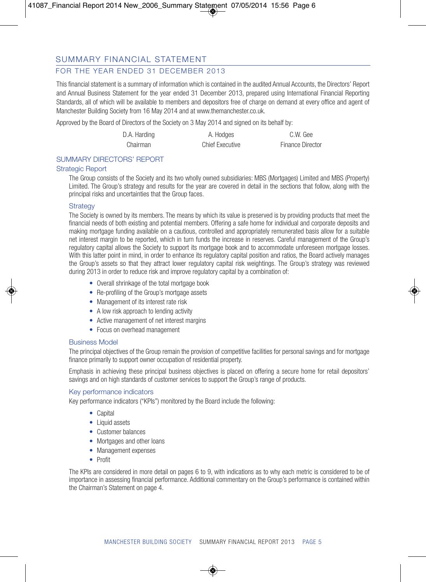## FOR THE YEAR ENDED 31 DECEMBER 2013

This financial statement is a summary of information which is contained in the audited Annual Accounts, the Directors' Report and Annual Business Statement for the year ended 31 December 2013, prepared using International Financial Reporting Standards, all of which will be available to members and depositors free of charge on demand at every office and agent of Manchester Building Society from 16 May 2014 and at www.themanchester.co.uk.

Approved by the Board of Directors of the Society on 3 May 2014 and signed on its behalf by:

| D.A. Harding | A. Hodges              | C.W. Gee                |
|--------------|------------------------|-------------------------|
| Chairman     | <b>Chief Executive</b> | <b>Finance Director</b> |

#### SUMMARY DIRECTORS' REPORT

#### Strategic Report

The Group consists of the Society and its two wholly owned subsidiaries: MBS (Mortgages) Limited and MBS (Property) Limited. The Group's strategy and results for the year are covered in detail in the sections that follow, along with the principal risks and uncertainties that the Group faces.

#### **Strategy**

The Society is owned by its members. The means by which its value is preserved is by providing products that meet the financial needs of both existing and potential members. Offering a safe home for individual and corporate deposits and making mortgage funding available on a cautious, controlled and appropriately remunerated basis allow for a suitable net interest margin to be reported, which in turn funds the increase in reserves. Careful management of the Group's regulatory capital allows the Society to support its mortgage book and to accommodate unforeseen mortgage losses. With this latter point in mind, in order to enhance its regulatory capital position and ratios, the Board actively manages the Group's assets so that they attract lower regulatory capital risk weightings. The Group's strategy was reviewed during 2013 in order to reduce risk and improve regulatory capital by a combination of:

- Overall shrinkage of the total mortgage book
- Re-profiling of the Group's mortgage assets
- Management of its interest rate risk
- A low risk approach to lending activity
- Active management of net interest margins
- Focus on overhead management

#### Business Model

The principal objectives of the Group remain the provision of competitive facilities for personal savings and for mortgage finance primarily to support owner occupation of residential property.

Emphasis in achieving these principal business objectives is placed on offering a secure home for retail depositors' savings and on high standards of customer services to support the Group's range of products.

#### Key performance indicators

Key performance indicators ("KPIs") monitored by the Board include the following:

- Capital
- Liquid assets
- Customer balances
- Mortgages and other loans
- Management expenses
- Profit

The KPIs are considered in more detail on pages 6 to 9, with indications as to why each metric is considered to be of importance in assessing financial performance. Additional commentary on the Group's performance is contained within the Chairman's Statement on page 4.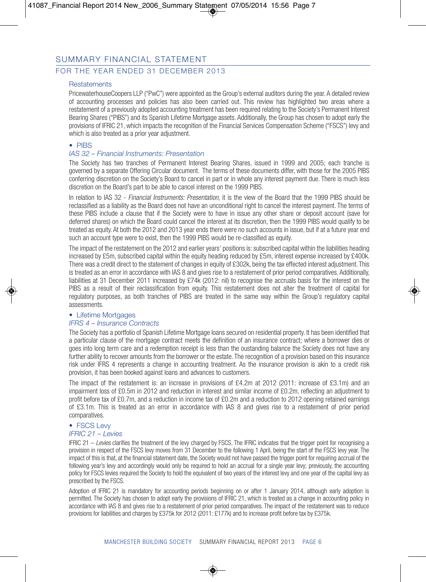## FOR THE YEAR ENDED 31 DECEMBER 2013

#### **Restatements**

PricewaterhouseCoopers LLP ("PwC") were appointed as the Group's external auditors during the year. A detailed review of accounting processes and policies has also been carried out. This review has highlighted two areas where a restatement of a previously adopted accounting treatment has been required relating to the Society's Permanent Interest Bearing Shares ("PIBS") and its Spanish Lifetime Mortgage assets. Additionally, the Group has chosen to adopt early the provisions of IFRIC 21, which impacts the recognition of the Financial Services Compensation Scheme ("FSCS") levy and which is also treated as a prior year adjustment.

#### • PIBS

#### *IAS 32 – Financial Instruments: Presentation*

The Society has two tranches of Permanent Interest Bearing Shares, issued in 1999 and 2005; each tranche is governed by a separate Offering Circular document. The terms of these documents differ, with those for the 2005 PIBS conferring discretion on the Society's Board to cancel in part or in whole any interest payment due. There is much less discretion on the Board's part to be able to cancel interest on the 1999 PIBS.

In relation to IAS 32 - *Financial Instruments: Presentation*, it is the view of the Board that the 1999 PIBS should be reclassified as a liability as the Board does not have an unconditional right to cancel the interest payment. The terms of these PIBS include a clause that if the Society were to have in issue any other share or deposit account (save for deferred shares) on which the Board could cancel the interest at its discretion, then the 1999 PIBS would qualify to be treated as equity. At both the 2012 and 2013 year ends there were no such accounts in issue, but if at a future year end such an account type were to exist, then the 1999 PIBS would be re-classified as equity.

The impact of the restatement on the 2012 and earlier years' positions is: subscribed capital within the liabilities heading increased by £5m, subscribed capital within the equity heading reduced by £5m, interest expense increased by £400k. There was a credit direct to the statement of changes in equity of £302k, being the tax effected interest adjustment. This is treated as an error in accordance with IAS 8 and gives rise to a restatement of prior period comparatives. Additionally, liabilities at 31 December 2011 increased by £74k (2012: nil) to recognise the accruals basis for the interest on the PIBS as a result of their reclassification from equity. This restatement does not alter the treatment of capital for regulatory purposes, as both tranches of PIBS are treated in the same way within the Group's regulatory capital assessments.

#### • Lifetime Mortgages

#### *IFRS 4 – Insurance Contracts*

The Society has a portfolio of Spanish Lifetime Mortgage loans secured on residential property. It has been identified that a particular clause of the mortgage contract meets the definition of an insurance contract; where a borrower dies or goes into long term care and a redemption receipt is less than the oustanding balance the Society does not have any further ability to recover amounts from the borrower or the estate. The recognition of a provision based on this insurance risk under IFRS 4 represents a change in accounting treatment. As the insurance provision is akin to a credit risk provision, it has been booked against loans and advances to customers.

The impact of the restatement is: an increase in provisions of £4.2m at 2012 (2011: increase of £3.1m) and an impairment loss of £0.5m in 2012 and reduction in interest and similar income of £0.2m, reflecting an adjustment to profit before tax of £0.7m, and a reduction in income tax of £0.2m and a reduction to 2012 opening retained earnings of £3.1m. This is treated as an error in accordance with IAS 8 and gives rise to a restatement of prior period comparatives.

## • FSCS Levy

#### *IFRIC 21 – Levies*

IFRIC 21 – *Levies* clarifies the treatment of the levy charged by FSCS. The IFRIC indicates that the trigger point for recognising a provision in respect of the FSCS levy moves from 31 December to the following 1 April, being the start of the FSCS levy year. The impact of this is that, at the financial statement date, the Society would not have passed the trigger point for requiring accrual of the following year's levy and accordingly would only be required to hold an accrual for a single year levy; previously, the accounting policy for FSCS levies required the Society to hold the equivalent of two years of the interest levy and one year of the capital levy as prescribed by the FSCS.

Adoption of IFRIC 21 is mandatory for accounting periods beginning on or after 1 January 2014, although early adoption is permitted. The Society has chosen to adopt early the provisions of IFRIC 21, which is treated as a change in accounting policy in accordance with IAS 8 and gives rise to a restatement of prior period comparatives. The impact of the restatement was to reduce provisions for liabilities and charges by £375k for 2012 (2011: £177k) and to increase profit before tax by £375k.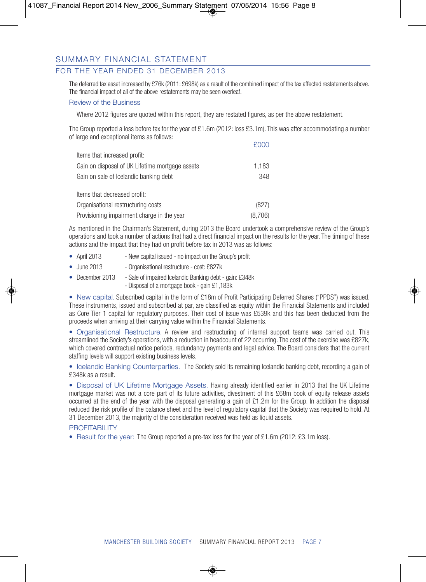## FOR THE YEAR ENDED 31 DECEMBER 2013

The deferred tax asset increased by £76k (2011: £698k) as a result of the combined impact of the tax affected restatements above. The financial impact of all of the above restatements may be seen overleaf.

#### Review of the Business

Where 2012 figures are quoted within this report, they are restated figures, as per the above restatement.

The Group reported a loss before tax for the year of £1.6m (2012: loss £3.1m). This was after accommodating a number of large and exceptional items as follows:

|                                                 | <b>FUUU</b> |
|-------------------------------------------------|-------------|
| Items that increased profit:                    |             |
| Gain on disposal of UK Lifetime mortgage assets | 1,183       |
| Gain on sale of Icelandic banking debt          | 348         |
|                                                 |             |
| Items that decreased profit:                    |             |
| Organisational restructuring costs              | (827)       |
| Provisioning impairment charge in the year      | (8.706)     |

As mentioned in the Chairman's Statement, during 2013 the Board undertook a comprehensive review of the Group's operations and took a number of actions that had a direct financial impact on the results for the year. The timing of these actions and the impact that they had on profit before tax in 2013 was as follows:

- April 2013 New capital issued no impact on the Group's profit
- June 2013 Organisational restructure cost: £827k
- December 2013 Sale of impaired Icelandic Banking debt gain: £348k - Disposal of a mortgage book - gain £1,183k

• New capital. Subscribed capital in the form of £18m of Profit Participating Deferred Shares ("PPDS") was issued. These instruments, issued and subscribed at par, are classified as equity within the Financial Statements and included as Core Tier 1 capital for regulatory purposes. Their cost of issue was £539k and this has been deducted from the proceeds when arriving at their carrying value within the Financial Statements.

• Organisational Restructure. A review and restructuring of internal support teams was carried out. This streamlined the Society's operations, with a reduction in headcount of 22 occurring. The cost of the exercise was £827k, which covered contractual notice periods, redundancy payments and legal advice. The Board considers that the current staffing levels will support existing business levels.

• Icelandic Banking Counterparties. The Society sold its remaining Icelandic banking debt, recording a gain of £348k as a result.

• Disposal of UK Lifetime Mortgage Assets. Having already identified earlier in 2013 that the UK Lifetime mortgage market was not a core part of its future activities, divestment of this £68m book of equity release assets occurred at the end of the year with the disposal generating a gain of £1.2m for the Group. In addition the disposal reduced the risk profile of the balance sheet and the level of regulatory capital that the Society was required to hold. At 31 December 2013, the majority of the consideration received was held as liquid assets.

#### PROFITARII ITY

• Result for the year: The Group reported a pre-tax loss for the year of £1.6m (2012: £3.1m loss).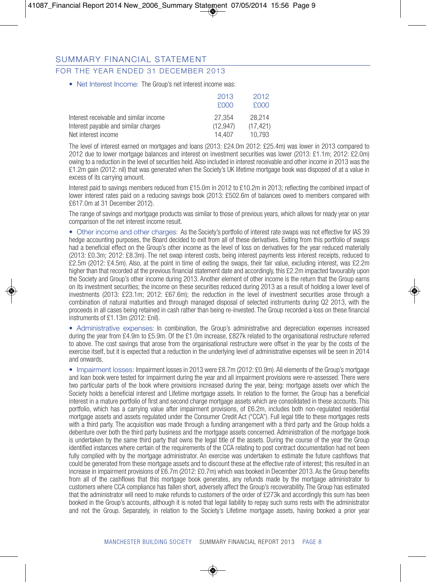## FOR THE YEAR ENDED 31 DECEMBER 2013

• Net Interest Income: The Group's net interest income was:

|                                        | 2013        | 2012     |
|----------------------------------------|-------------|----------|
|                                        | <b>FOOD</b> | £000     |
| Interest receivable and similar income | 27.354      | 28.214   |
| Interest payable and similar charges   | (12.947)    | (17.421) |
| Net interest income                    | 14.407      | 10.793   |

The level of interest earned on mortgages and loans (2013: £24.0m 2012: £25.4m) was lower in 2013 compared to 2012 due to lower mortgage balances and interest on investment securities was lower (2013: £1.1m; 2012: £2.0m) owing to a reduction in the level of securities held. Also included in interest receivable and other income in 2013 was the £1.2m gain (2012: nil) that was generated when the Society's UK lifetime mortgage book was disposed of at a value in excess of its carrying amount.

Interest paid to savings members reduced from £15.0m in 2012 to £10.2m in 2013; reflecting the combined impact of lower interest rates paid on a reducing savings book (2013: £502.6m of balances owed to members compared with £617.0m at 31 December 2012).

The range of savings and mortgage products was similar to those of previous years, which allows for ready year on year comparison of the net interest income result.

• Other income and other charges: As the Society's portfolio of interest rate swaps was not effective for IAS 39 hedge accounting purposes, the Board decided to exit from all of these derivatives. Exiting from this portfolio of swaps had a beneficial effect on the Group's other income as the level of loss on derivatives for the year reduced materially (2013: £0.3m; 2012: £8.3m). The net swap interest costs, being interest payments less interest receipts, reduced to £2.5m (2012: £4.5m). Also, at the point in time of exiting the swaps, their fair value, excluding interest, was £2.2m higher than that recorded at the previous financial statement date and accordingly, this £2.2m impacted favourably upon the Society and Group's other income during 2013. Another element of other income is the return that the Group earns on its investment securities; the income on these securities reduced during 2013 as a result of holding a lower level of investments (2013: £23.1m; 2012: £67.6m); the reduction in the level of investment securities arose through a combination of natural maturities and through managed disposal of selected instruments during Q2 2013, with the proceeds in all cases being retained in cash rather than being re-invested. The Group recorded a loss on these financial instruments of £1.13m (2012: £nil).

• Administrative expenses: In combination, the Group's administrative and depreciation expenses increased during the year from £4.9m to £5.9m. Of the £1.0m increase, £827k related to the organisational restructure referred to above. The cost savings that arose from the organisational restructure were offset in the year by the costs of the exercise itself, but it is expected that a reduction in the underlying level of administrative expenses will be seen in 2014 and onwards.

• Impairment losses: Impairment losses in 2013 were £8.7m (2012: £0.9m). All elements of the Group's mortgage and loan book were tested for impairment during the year and all impairment provisions were re-assessed. There were two particular parts of the book where provisions increased during the year, being: mortgage assets over which the Society holds a beneficial interest and Lifetime mortgage assets. In relation to the former, the Group has a beneficial interest in a mature portfolio of first and second charge mortgage assets which are consolidated in these accounts. This portfolio, which has a carrying value after impairment provisions, of £6.2m, includes both non-regulated residential mortgage assets and assets regulated under the Consumer Credit Act ("CCA"). Full legal title to these mortgages rests with a third party. The acquisition was made through a funding arrangement with a third party and the Group holds a debenture over both the third party business and the mortgage assets concerned. Administration of the mortgage book is undertaken by the same third party that owns the legal title of the assets. During the course of the year the Group identified instances where certain of the requirements of the CCA relating to post contract documentation had not been fully complied with by the mortgage administrator. An exercise was undertaken to estimate the future cashflows that could be generated from these mortgage assets and to discount these at the effective rate of interest; this resulted in an increase in impairment provisions of £6.7m (2012: £0.7m) which was booked in December 2013. As the Group benefits from all of the cashflows that this mortgage book generates, any refunds made by the mortgage administrator to customers where CCA compliance has fallen short, adversely affect the Group's recoverability. The Group has estimated that the administrator will need to make refunds to customers of the order of £273k and accordingly this sum has been booked in the Group's accounts, although it is noted that legal liability to repay such sums rests with the administrator and not the Group. Separately, in relation to the Society's Lifetime mortgage assets, having booked a prior year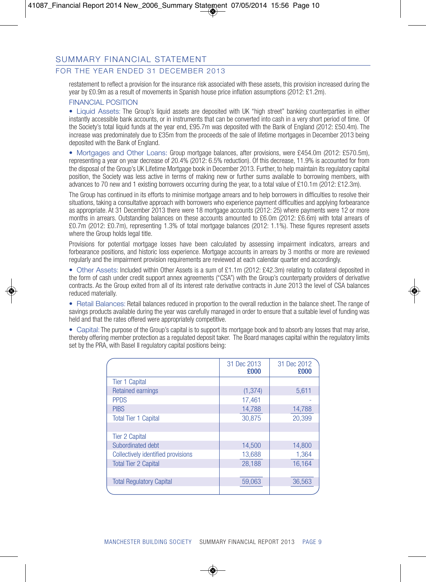## FOR THE YEAR ENDED 31 DECEMBER 2013

restatement to reflect a provision for the insurance risk associated with these assets, this provision increased during the year by £0.9m as a result of movements in Spanish house price inflation assumptions (2012: £1.2m).

#### FINANCIAL POSITION

• Liquid Assets: The Group's liquid assets are deposited with UK "high street" banking counterparties in either instantly accessible bank accounts, or in instruments that can be converted into cash in a very short period of time. Of the Society's total liquid funds at the year end, £95.7m was deposited with the Bank of England (2012: £50.4m). The increase was predominately due to £35m from the proceeds of the sale of lifetime mortgages in December 2013 being deposited with the Bank of England.

• Mortgages and Other Loans: Group mortgage balances, after provisions, were £454.0m (2012: £570.5m), representing a year on year decrease of 20.4% (2012: 6.5% reduction). Of this decrease, 11.9% is accounted for from the disposal of the Group's UK Lifetime Mortgage book in December 2013. Further, to help maintain its regulatory capital position, the Society was less active in terms of making new or further sums available to borrowing members, with advances to 70 new and 1 existing borrowers occurring during the year, to a total value of £10.1m (2012: £12.3m).

The Group has continued in its efforts to minimise mortgage arrears and to help borrowers in difficulties to resolve their situations, taking a consultative approach with borrowers who experience payment difficulties and applying forbearance as appropriate. At 31 December 2013 there were 18 mortgage accounts (2012: 25) where payments were 12 or more months in arrears. Outstanding balances on these accounts amounted to £6.0m (2012: £6.6m) with total arrears of £0.7m (2012: £0.7m), representing 1.3% of total mortgage balances (2012: 1.1%). These figures represent assets where the Group holds legal title.

Provisions for potential mortgage losses have been calculated by assessing impairment indicators, arrears and forbearance positions, and historic loss experience. Mortgage accounts in arrears by 3 months or more are reviewed regularly and the impairment provision requirements are reviewed at each calendar quarter end accordingly.

• Other Assets: Included within Other Assets is a sum of £1.1m (2012: £42.3m) relating to collateral deposited in the form of cash under credit support annex agreements ("CSA") with the Group's counterparty providers of derivative contracts. As the Group exited from all of its interest rate derivative contracts in June 2013 the level of CSA balances reduced materially.

• Retail Balances: Retail balances reduced in proportion to the overall reduction in the balance sheet. The range of savings products available during the year was carefully managed in order to ensure that a suitable level of funding was held and that the rates offered were appropriately competitive.

• Capital: The purpose of the Group's capital is to support its mortgage book and to absorb any losses that may arise, thereby offering member protection as a regulated deposit taker. The Board manages capital within the regulatory limits set by the PRA, with Basel II regulatory capital positions being:

|                                    | 31 Dec 2013<br>£000 | 31 Dec 2012<br>£000 |
|------------------------------------|---------------------|---------------------|
| <b>Tier 1 Capital</b>              |                     |                     |
| <b>Retained earnings</b>           | (1, 374)            | 5,611               |
| <b>PPDS</b>                        | 17,461              |                     |
| <b>PIBS</b>                        | 14,788              | 14,788              |
| <b>Total Tier 1 Capital</b>        | 30.875              | 20.399              |
|                                    |                     |                     |
| <b>Tier 2 Capital</b>              |                     |                     |
| Subordinated debt                  | 14.500              | 14,800              |
| Collectively identified provisions | 13,688              | 1,364               |
| <b>Total Tier 2 Capital</b>        | 28.188              | 16.164              |
|                                    |                     |                     |
| <b>Total Regulatory Capital</b>    | 59.063              | 36,563              |
|                                    |                     |                     |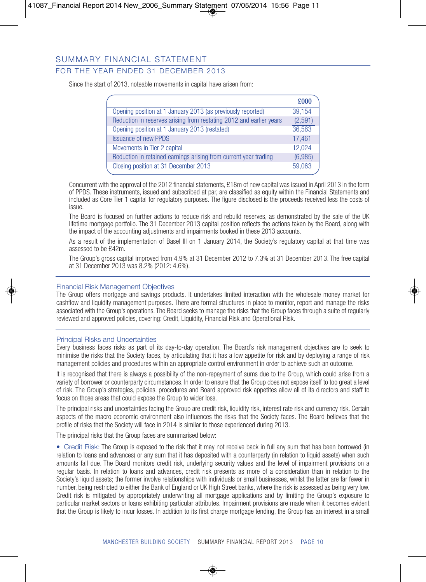## FOR THE YEAR ENDED 31 DECEMBER 2013

Since the start of 2013, noteable movements in capital have arisen from:

|                                                                     | £000    |
|---------------------------------------------------------------------|---------|
| Opening position at 1 January 2013 (as previously reported)         | 39,154  |
| Reduction in reserves arising from restating 2012 and earlier years | (2,591) |
| Opening position at 1 January 2013 (restated)                       | 36,563  |
| <b>Issuance of new PPDS</b>                                         | 17.461  |
| Movements in Tier 2 capital                                         | 12.024  |
| Reduction in retained earnings arising from current year trading    | (6,985) |
| Closing position at 31 December 2013                                | 59,063  |

Concurrent with the approval of the 2012 financial statements, £18m of new capital was issued in April 2013 in the form of PPDS. These instruments, issued and subscribed at par, are classified as equity within the Financial Statements and included as Core Tier 1 capital for regulatory purposes. The figure disclosed is the proceeds received less the costs of issue.

The Board is focused on further actions to reduce risk and rebuild reserves, as demonstrated by the sale of the UK lifetime mortgage portfolio. The 31 December 2013 capital position reflects the actions taken by the Board, along with the impact of the accounting adjustments and impairments booked in these 2013 accounts.

As a result of the implementation of Basel III on 1 January 2014, the Society's regulatory capital at that time was assessed to be £42m.

The Group's gross capital improved from 4.9% at 31 December 2012 to 7.3% at 31 December 2013. The free capital at 31 December 2013 was 8.2% (2012: 4.6%).

#### Financial Risk Management Objectives

The Group offers mortgage and savings products. It undertakes limited interaction with the wholesale money market for cashflow and liquidity management purposes. There are formal structures in place to monitor, report and manage the risks associated with the Group's operations. The Board seeks to manage the risks that the Group faces through a suite of regularly reviewed and approved policies, covering: Credit, Liquidity, Financial Risk and Operational Risk.

#### Principal Risks and Uncertainties

Every business faces risks as part of its day-to-day operation. The Board's risk management objectives are to seek to minimise the risks that the Society faces, by articulating that it has a low appetite for risk and by deploying a range of risk management policies and procedures within an appropriate control environment in order to achieve such an outcome.

It is recognised that there is always a possibility of the non-repayment of sums due to the Group, which could arise from a variety of borrower or counterparty circumstances. In order to ensure that the Group does not expose itself to too great a level of risk. The Group's strategies, policies, procedures and Board approved risk appetites allow all of its directors and staff to focus on those areas that could expose the Group to wider loss.

The principal risks and uncertainties facing the Group are credit risk, liquidity risk, interest rate risk and currency risk. Certain aspects of the macro economic environment also influences the risks that the Society faces. The Board believes that the profile of risks that the Society will face in 2014 is similar to those experienced during 2013.

The principal risks that the Group faces are summarised below:

• Credit Risk: The Group is exposed to the risk that it may not receive back in full any sum that has been borrowed (in relation to loans and advances) or any sum that it has deposited with a counterparty (in relation to liquid assets) when such amounts fall due. The Board monitors credit risk, underlying security values and the level of impairment provisions on a regular basis. In relation to loans and advances, credit risk presents as more of a consideration than in relation to the Society's liquid assets; the former involve relationships with individuals or small businesses, whilst the latter are far fewer in number, being restricted to either the Bank of England or UK High Street banks, where the risk is assessed as being very low. Credit risk is mitigated by appropriately underwriting all mortgage applications and by limiting the Group's exposure to particular market sectors or loans exhibiting particular attributes. Impairment provisions are made when it becomes evident that the Group is likely to incur losses. In addition to its first charge mortgage lending, the Group has an interest in a small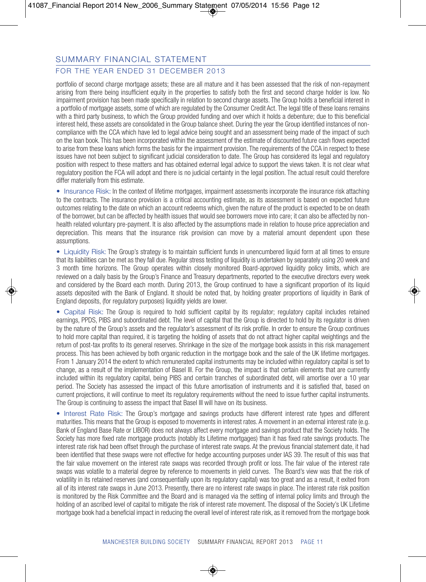## FOR THE YEAR ENDED 31 DECEMBER 2013

portfolio of second charge mortgage assets; these are all mature and it has been assessed that the risk of non-repayment arising from there being insufficient equity in the properties to satisfy both the first and second charge holder is low. No impairment provision has been made specifically in relation to second charge assets. The Group holds a beneficial interest in a portfolio of mortgage assets, some of which are regulated by the Consumer Credit Act. The legal title of these loans remains with a third party business, to which the Group provided funding and over which it holds a debenture; due to this beneficial interest held, these assets are consolidated in the Group balance sheet. During the year the Group identified instances of noncompliance with the CCA which have led to legal advice being sought and an assessment being made of the impact of such on the loan book. This has been incorporated within the assessment of the estimate of discounted future cash flows expected to arise from these loans which forms the basis for the impairment provision. The requirements of the CCA in respect to these issues have not been subject to significant judicial consideration to date. The Group has considered its legal and regulatory position with respect to these matters and has obtained external legal advice to support the views taken. It is not clear what regulatory position the FCA will adopt and there is no judicial certainty in the legal position. The actual result could therefore differ materially from this estimate.

• Insurance Risk: In the context of lifetime mortgages, impairment assessments incorporate the insurance risk attaching to the contracts. The insurance provision is a critical accounting estimate, as its assessment is based on expected future outcomes relating to the date on which an account redeems which, given the nature of the product is expected to be on death of the borrower, but can be affected by health issues that would see borrowers move into care; it can also be affected by nonhealth related voluntary pre-payment. It is also affected by the assumptions made in relation to house price appreciation and depreciation. This means that the insurance risk provision can move by a material amount dependent upon these assumptions.

• Liquidity Risk: The Group's strategy is to maintain sufficient funds in unencumbered liquid form at all times to ensure that its liabilities can be met as they fall due. Regular stress testing of liquidity is undertaken by separately using 20 week and 3 month time horizons. The Group operates within closely monitored Board-approved liquidity policy limits, which are reviewed on a daily basis by the Group's Finance and Treasury departments, reported to the executive directors every week and considered by the Board each month. During 2013, the Group continued to have a significant proportion of its liquid assets deposited with the Bank of England. It should be noted that, by holding greater proportions of liquidity in Bank of England deposits, (for regulatory purposes) liquidity yields are lower.

• Capital Risk: The Group is required to hold sufficient capital by its regulator; regulatory capital includes retained earnings, PPDS, PIBS and subordinated debt. The level of capital that the Group is directed to hold by its regulator is driven by the nature of the Group's assets and the regulator's assessment of its risk profile. In order to ensure the Group continues to hold more capital than required, it is targeting the holding of assets that do not attract higher capital weightings and the return of post-tax profits to its general reserves. Shrinkage in the size of the mortgage book assists in this risk management process. This has been achieved by both organic reduction in the mortgage book and the sale of the UK lifetime mortgages. From 1 January 2014 the extent to which remunerated capital instruments may be included within regulatory capital is set to change, as a result of the implementation of Basel III. For the Group, the impact is that certain elements that are currently included within its regulatory capital, being PIBS and certain tranches of subordinated debt, will amortise over a 10 year period. The Society has assessed the impact of this future amortisation of instruments and it is satisfied that, based on current projections, it will continue to meet its regulatory requirements without the need to issue further capital instruments. The Group is continuing to assess the impact that Basel III will have on its business.

• Interest Rate Risk: The Group's mortgage and savings products have different interest rate types and different maturities. This means that the Group is exposed to movements in interest rates. A movement in an external interest rate (e.g. Bank of England Base Rate or LIBOR) does not always affect every mortgage and savings product that the Society holds. The Society has more fixed rate mortgage products (notably its Lifetime mortgages) than it has fixed rate savings products. The interest rate risk had been offset through the purchase of interest rate swaps. At the previous financial statement date, it had been identified that these swaps were not effective for hedge accounting purposes under IAS 39. The result of this was that the fair value movement on the interest rate swaps was recorded through profit or loss. The fair value of the interest rate swaps was volatile to a material degree by reference to movements in yield curves. The Board's view was that the risk of volatility in its retained reserves (and consequentially upon its regulatory capital) was too great and as a result, it exited from all of its interest rate swaps in June 2013. Presently, there are no interest rate swaps in place. The interest rate risk position is monitored by the Risk Committee and the Board and is managed via the setting of internal policy limits and through the holding of an ascribed level of capital to mitigate the risk of interest rate movement. The disposal of the Society's UK Lifetime mortgage book had a beneficial impact in reducing the overall level of interest rate risk, as it removed from the mortgage book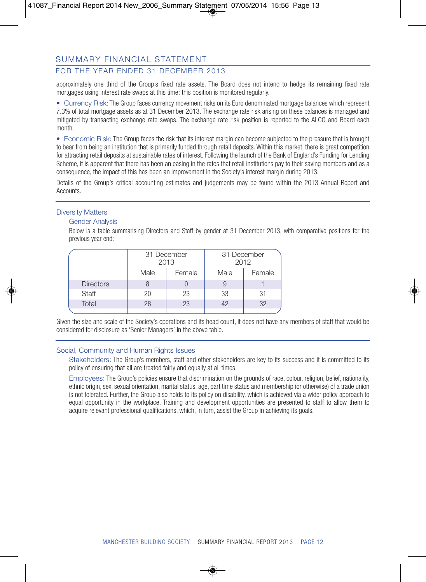## FOR THE YEAR ENDED 31 DECEMBER 2013

approximately one third of the Group's fixed rate assets. The Board does not intend to hedge its remaining fixed rate mortgages using interest rate swaps at this time; this position is monitored regularly.

• Currency Risk: The Group faces currency movement risks on its Euro denominated mortgage balances which represent 7.3% of total mortgage assets as at 31 December 2013. The exchange rate risk arising on these balances is managed and mitigated by transacting exchange rate swaps. The exchange rate risk position is reported to the ALCO and Board each month.

• Economic Risk: The Group faces the risk that its interest margin can become subjected to the pressure that is brought to bear from being an institution that is primarily funded through retail deposits. Within this market, there is great competition for attracting retail deposits at sustainable rates of interest. Following the launch of the Bank of England's Funding for Lending Scheme, it is apparent that there has been an easing in the rates that retail institutions pay to their saving members and as a consequence, the impact of this has been an improvement in the Society's interest margin during 2013.

Details of the Group's critical accounting estimates and judgements may be found within the 2013 Annual Report and **Accounts** 

#### Diversity Matters

#### Gender Analysis

Below is a table summarising Directors and Staff by gender at 31 December 2013, with comparative positions for the previous year end:

|                  |      | 31 December<br>31 December<br>2013<br>2012 |      |        |  |
|------------------|------|--------------------------------------------|------|--------|--|
|                  | Male | Female                                     | Male | Female |  |
| <b>Directors</b> |      |                                            |      |        |  |
| <b>Staff</b>     | 20   | 23                                         | 33   | 31     |  |
| Total            | 28   | 23                                         | 42   | 32     |  |
|                  |      |                                            |      |        |  |

Given the size and scale of the Society's operations and its head count, it does not have any members of staff that would be considered for disclosure as 'Senior Managers' in the above table.

#### Social, Community and Human Rights Issues

Stakeholders: The Group's members, staff and other stakeholders are key to its success and it is committed to its policy of ensuring that all are treated fairly and equally at all times.

Employees: The Group's policies ensure that discrimination on the grounds of race, colour, religion, belief, nationality, ethnic origin, sex, sexual orientation, marital status, age, part time status and membership (or otherwise) of a trade union is not tolerated. Further, the Group also holds to its policy on disability, which is achieved via a wider policy approach to equal opportunity in the workplace. Training and development opportunities are presented to staff to allow them to acquire relevant professional qualifications, which, in turn, assist the Group in achieving its goals.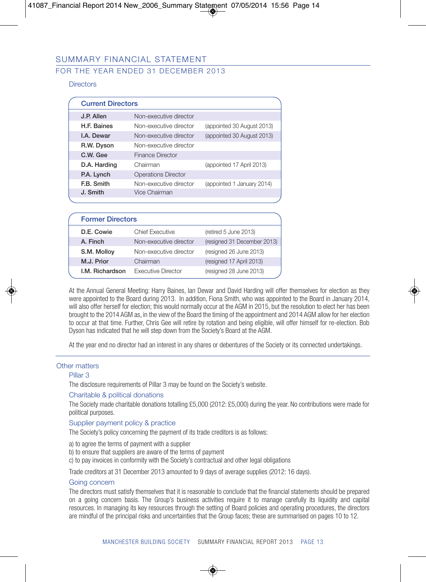## FOR THE YEAR ENDED 31 DECEMBER 2013

#### **Directors**

| <b>Current Directors</b> |                            |                            |  |
|--------------------------|----------------------------|----------------------------|--|
| J.P. Allen               | Non-executive director     |                            |  |
| <b>H.F. Baines</b>       | Non-executive director     | (appointed 30 August 2013) |  |
| <b>I.A.</b> Dewar        | Non-executive director     | (appointed 30 August 2013) |  |
| R.W. Dyson               | Non-executive director     |                            |  |
| C.W. Gee                 | <b>Finance Director</b>    |                            |  |
| D.A. Harding             | Chairman                   | (appointed 17 April 2013)  |  |
| P.A. Lynch               | <b>Operations Director</b> |                            |  |
| <b>E.B.</b> Smith        | Non-executive director     | (appointed 1 January 2014) |  |
| J. Smith                 | Vice Chairman              |                            |  |
|                          |                            |                            |  |

| <b>Former Directors</b> |                 |                           |                             |  |
|-------------------------|-----------------|---------------------------|-----------------------------|--|
|                         | D.E. Cowie      | <b>Chief Executive</b>    | (retired 5 June 2013)       |  |
|                         | A. Finch        | Non-executive director    | (resigned 31 December 2013) |  |
|                         | S.M. Molloy     | Non-executive director    | (resigned 26 June 2013)     |  |
|                         | M.J. Prior      | Chairman                  | (resigned 17 April 2013)    |  |
|                         | I.M. Richardson | <b>Executive Director</b> | (resigned 28 June 2013)     |  |

At the Annual General Meeting: Harry Baines, Ian Dewar and David Harding will offer themselves for election as they were appointed to the Board during 2013. In addition, Fiona Smith, who was appointed to the Board in January 2014, will also offer herself for election; this would normally occur at the AGM in 2015, but the resolution to elect her has been brought to the 2014 AGM as, in the view of the Board the timing of the appointment and 2014 AGM allow for her election to occur at that time. Further, Chris Gee will retire by rotation and being eligible, will offer himself for re-election. Bob Dyson has indicated that he will step down from the Society's Board at the AGM.

At the year end no director had an interest in any shares or debentures of the Society or its connected undertakings.

#### Other matters

#### Pillar 3

The disclosure requirements of Pillar 3 may be found on the Society's website.

#### Charitable & political donations

The Society made charitable donations totalling £5,000 (2012: £5,000) during the year. No contributions were made for political purposes.

#### Supplier payment policy & practice

The Society's policy concerning the payment of its trade creditors is as follows:

- a) to agree the terms of payment with a supplier
- b) to ensure that suppliers are aware of the terms of payment
- c) to pay invoices in conformity with the Society's contractual and other legal obligations

Trade creditors at 31 December 2013 amounted to 9 days of average supplies (2012: 16 days).

#### Going concern

The directors must satisfy themselves that it is reasonable to conclude that the financial statements should be prepared on a going concern basis. The Group's business activities require it to manage carefully its liquidity and capital resources. In managing its key resources through the setting of Board policies and operating procedures, the directors are mindful of the principal risks and uncertainties that the Group faces; these are summarised on pages 10 to 12.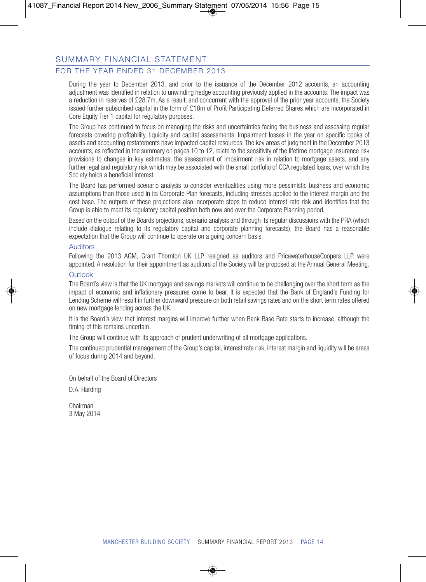## FOR THE YEAR ENDED 31 DECEMBER 2013

During the year to December 2013, and prior to the issuance of the December 2012 accounts, an accounting adjustment was identified in relation to unwinding hedge accounting previously applied in the accounts. The impact was a reduction in reserves of £28.7m. As a result, and concurrent with the approval of the prior year accounts, the Society issued further subscribed capital in the form of £18m of Profit Participating Deferred Shares which are incorporated in Core Equity Tier 1 capital for regulatory purposes.

The Group has continued to focus on managing the risks and uncertainties facing the business and assessing regular forecasts covering profitability, liquidity and capital assessments. Impairment losses in the year on specific books of assets and accounting restatements have impacted capital resources. The key areas of judgment in the December 2013 accounts, as reflected in the summary on pages 10 to 12, relate to the sensitivity of the lifetime mortgage insurance risk provisions to changes in key estimates, the assessment of impairment risk in relation to mortgage assets, and any further legal and regulatory risk which may be associated with the small portfolio of CCA regulated loans, over which the Society holds a beneficial interest.

The Board has performed scenario analysis to consider eventualities using more pessimistic business and economic assumptions than those used in its Corporate Plan forecasts, including stresses applied to the interest margin and the cost base. The outputs of these projections also incorporate steps to reduce interest rate risk and identifies that the Group is able to meet its regulatory capital position both now and over the Corporate Planning period.

Based on the output of the Boards projections, scenario analysis and through its regular discussions with the PRA (which include dialogue relating to its regulatory capital and corporate planning forecasts), the Board has a reasonable expectation that the Group will continue to operate on a going concern basis.

#### Auditors

Following the 2013 AGM, Grant Thornton UK LLP resigned as auditors and PricewaterhouseCoopers LLP were appointed. A resolution for their appointment as auditors of the Society will be proposed at the Annual General Meeting.

#### **Outlook**

The Board's view is that the UK mortgage and savings markets will continue to be challenging over the short term as the impact of economic and inflationary pressures come to bear. It is expected that the Bank of England's Funding for Lending Scheme will result in further downward pressure on both retail savings rates and on the short term rates offered on new mortgage lending across the UK.

It is the Board's view that interest margins will improve further when Bank Base Rate starts to increase, although the timing of this remains uncertain.

The Group will continue with its approach of prudent underwriting of all mortgage applications.

The continued prudential management of the Group's capital, interest rate risk, interest margin and liquidity will be areas of focus during 2014 and beyond.

On behalf of the Board of Directors

D.A. Harding

Chairman 3 May 2014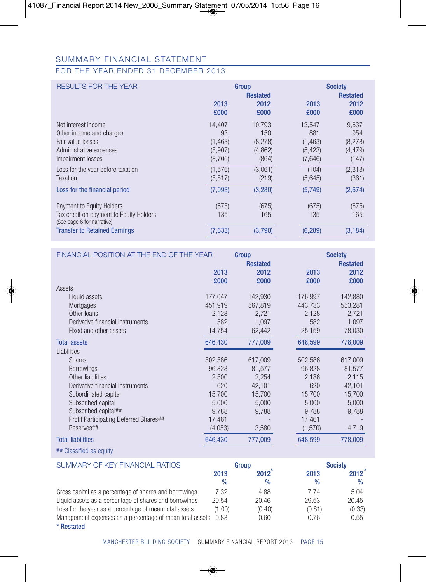## FOR THE YEAR ENDED 31 DECEMBER 2013

| <b>RESULTS FOR THE YEAR</b>                                                                                                                                                 | 2013<br>£000                                   | Group<br><b>Restated</b><br>2012<br>£000      | 2013<br>£000                                     | <b>Society</b><br><b>Restated</b><br>2012<br>£000 |
|-----------------------------------------------------------------------------------------------------------------------------------------------------------------------------|------------------------------------------------|-----------------------------------------------|--------------------------------------------------|---------------------------------------------------|
| Net interest income<br>Other income and charges<br>Fair value losses<br>Administrative expenses<br>Impairment losses                                                        | 14.407<br>93<br>(1, 463)<br>(5,907)<br>(8,706) | 10.793<br>150<br>(8, 278)<br>(4,862)<br>(864) | 13.547<br>881<br>(1, 463)<br>(5, 423)<br>(7,646) | 9,637<br>954<br>(8,278)<br>(4, 479)<br>(147)      |
| Loss for the year before taxation<br>Taxation                                                                                                                               | (1.576)<br>(5.517)                             | (3.061)<br>(219)                              | (104)<br>(5,645)                                 | (2,313)<br>(361)                                  |
| Loss for the financial period<br>Payment to Equity Holders<br>Tax credit on payment to Equity Holders<br>(See page 6 for narrative)<br><b>Transfer to Retained Earnings</b> | (7,093)<br>(675)<br>135<br>(7,633)             | (3,280)<br>(675)<br>165<br>(3,790)            | (5,749)<br>(675)<br>135<br>(6, 289)              | (2,674)<br>(675)<br>165<br>(3, 184)               |
|                                                                                                                                                                             |                                                |                                               |                                                  |                                                   |

| FINANCIAL POSITION AT THE END OF THE YEAR |         | Group                   |         | <b>Society</b>          |
|-------------------------------------------|---------|-------------------------|---------|-------------------------|
|                                           | 2013    | <b>Restated</b><br>2012 | 2013    | <b>Restated</b><br>2012 |
|                                           | £000    | £000                    | £000    | £000                    |
| Assets                                    |         |                         |         |                         |
| Liquid assets                             | 177,047 | 142,930                 | 176,997 | 142,880                 |
| Mortgages                                 | 451,919 | 567,819                 | 443,733 | 553,281                 |
| Other loans                               | 2,128   | 2,721                   | 2,128   | 2,721                   |
| Derivative financial instruments          | 582     | 1,097                   | 582     | 1,097                   |
| Fixed and other assets                    | 14,754  | 62,442                  | 25,159  | 78,030                  |
| <b>Total assets</b>                       | 646,430 | 777,009                 | 648,599 | 778,009                 |
| Liabilities                               |         |                         |         |                         |
| <b>Shares</b>                             | 502,586 | 617,009                 | 502,586 | 617,009                 |
| <b>Borrowings</b>                         | 96,828  | 81,577                  | 96,828  | 81,577                  |
| Other liabilities                         | 2,500   | 2,254                   | 2,186   | 2,115                   |
| Derivative financial instruments          | 620     | 42,101                  | 620     | 42,101                  |
| Subordinated capital                      | 15,700  | 15,700                  | 15,700  | 15,700                  |
| Subscribed capital                        | 5,000   | 5,000                   | 5,000   | 5,000                   |
| Subscribed capital##                      | 9,788   | 9,788                   | 9,788   | 9,788                   |
| Profit Participating Deferred Shares##    | 17,461  |                         | 17,461  |                         |
| Reserves##                                | (4,053) | 3,580                   | (1,570) | 4,719                   |
| <b>Total liabilities</b>                  | 646,430 | 777,009                 | 648,599 | 778,009                 |
| ## Classified as equity                   |         |                         |         |                         |

| SUMMARY OF KEY FINANCIAL RATIOS                               |              | Group        | <b>Society</b> |              |  |
|---------------------------------------------------------------|--------------|--------------|----------------|--------------|--|
|                                                               | 2013<br>$\%$ | 2012<br>$\%$ | 2013<br>$\%$   | 2012<br>$\%$ |  |
| Gross capital as a percentage of shares and borrowings        | 7.32         | 4.88         | 7.74           | 5.04         |  |
| Liquid assets as a percentage of shares and borrowings        | 29.54        | 20.46        | 29.53          | 20.45        |  |
| Loss for the year as a percentage of mean total assets        | (1.00)       | (0.40)       | (0.81)         | (0.33)       |  |
| Management expenses as a percentage of mean total assets 0.83 |              | 0.60         | 0.76           | 0.55         |  |

\* Restated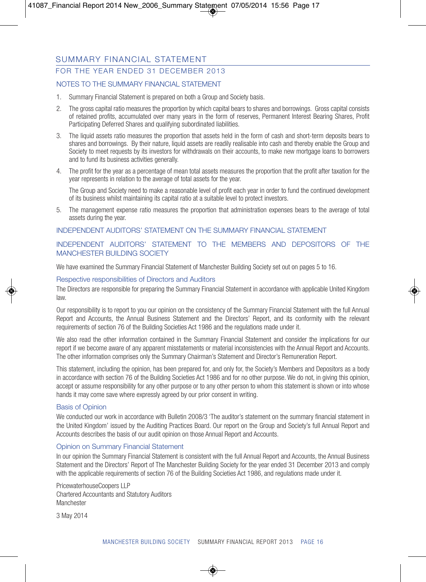## FOR THE YEAR ENDED 31 DECEMBER 2013

#### NOTES TO THE SUMMARY FINANCIAL STATEMENT

- 1. Summary Financial Statement is prepared on both a Group and Society basis.
- 2. The gross capital ratio measures the proportion by which capital bears to shares and borrowings. Gross capital consists of retained profits, accumulated over many years in the form of reserves, Permanent Interest Bearing Shares, Profit Participating Deferred Shares and qualifying subordinated liabilities.
- 3. The liquid assets ratio measures the proportion that assets held in the form of cash and short-term deposits bears to shares and borrowings. By their nature, liquid assets are readily realisable into cash and thereby enable the Group and Society to meet requests by its investors for withdrawals on their accounts, to make new mortgage loans to borrowers and to fund its business activities generally.
- 4. The profit for the year as a percentage of mean total assets measures the proportion that the profit after taxation for the year represents in relation to the average of total assets for the year.

The Group and Society need to make a reasonable level of profit each year in order to fund the continued development of its business whilst maintaining its capital ratio at a suitable level to protect investors.

5. The management expense ratio measures the proportion that administration expenses bears to the average of total assets during the year.

#### INDEPENDENT AUDITORS' STATEMENT ON THE SUMMARY FINANCIAL STATEMENT

#### INDEPENDENT AUDITORS' STATEMENT TO THE MEMBERS AND DEPOSITORS OF THE MANCHESTER BUILDING SOCIETY

We have examined the Summary Financial Statement of Manchester Building Society set out on pages 5 to 16.

#### Respective responsibilities of Directors and Auditors

The Directors are responsible for preparing the Summary Financial Statement in accordance with applicable United Kingdom law.

Our responsibility is to report to you our opinion on the consistency of the Summary Financial Statement with the full Annual Report and Accounts, the Annual Business Statement and the Directors' Report, and its conformity with the relevant requirements of section 76 of the Building Societies Act 1986 and the regulations made under it.

We also read the other information contained in the Summary Financial Statement and consider the implications for our report if we become aware of any apparent misstatements or material inconsistencies with the Annual Report and Accounts. The other information comprises only the Summary Chairman's Statement and Director's Remuneration Report.

This statement, including the opinion, has been prepared for, and only for, the Society's Members and Depositors as a body in accordance with section 76 of the Building Societies Act 1986 and for no other purpose. We do not, in giving this opinion, accept or assume responsibility for any other purpose or to any other person to whom this statement is shown or into whose hands it may come save where expressly agreed by our prior consent in writing.

#### Basis of Opinion

We conducted our work in accordance with Bulletin 2008/3 'The auditor's statement on the summary financial statement in the United Kingdom' issued by the Auditing Practices Board. Our report on the Group and Society's full Annual Report and Accounts describes the basis of our audit opinion on those Annual Report and Accounts.

#### Opinion on Summary Financial Statement

In our opinion the Summary Financial Statement is consistent with the full Annual Report and Accounts, the Annual Business Statement and the Directors' Report of The Manchester Building Society for the year ended 31 December 2013 and comply with the applicable requirements of section 76 of the Building Societies Act 1986, and regulations made under it.

PricewaterhouseCoopers LLP Chartered Accountants and Statutory Auditors **Manchester** 

3 May 2014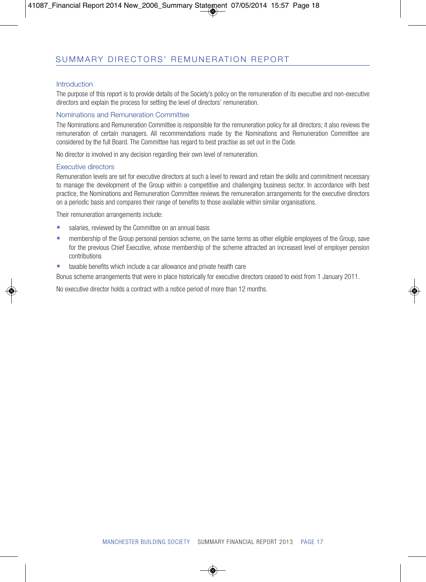#### **Introduction**

The purpose of this report is to provide details of the Society's policy on the remuneration of its executive and non-executive directors and explain the process for setting the level of directors' remuneration.

#### Nominations and Remuneration Committee

The Nominations and Remuneration Committee is responsible for the remuneration policy for all directors; it also reviews the remuneration of certain managers. All recommendations made by the Nominations and Remuneration Committee are considered by the full Board. The Committee has regard to best practise as set out in the Code.

No director is involved in any decision regarding their own level of remuneration.

#### Executive directors

Remuneration levels are set for executive directors at such a level to reward and retain the skills and commitment necessary to manage the development of the Group within a competitive and challenging business sector. In accordance with best practice, the Nominations and Remuneration Committee reviews the remuneration arrangements for the executive directors on a periodic basis and compares their range of benefits to those available within similar organisations.

Their remuneration arrangements include:

- salaries, reviewed by the Committee on an annual basis
- membership of the Group personal pension scheme, on the same terms as other eligible employees of the Group, save for the previous Chief Executive, whose membership of the scheme attracted an increased level of employer pension contributions
- taxable benefits which include a car allowance and private health care

Bonus scheme arrangements that were in place historically for executive directors ceased to exist from 1 January 2011.

No executive director holds a contract with a notice period of more than 12 months.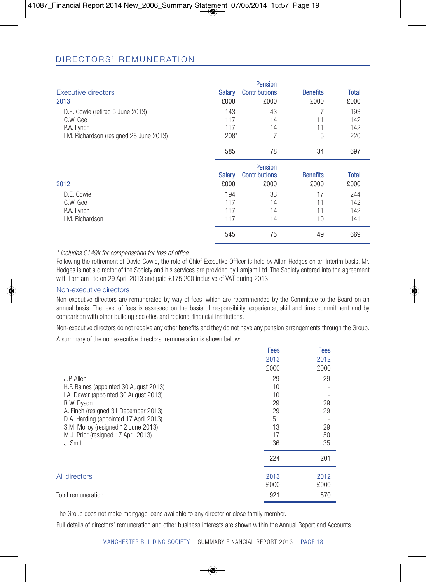## D I R E C T O R S' R E M UN E R A T I O N

|                                         |               | <b>Pension</b>       |                 |              |
|-----------------------------------------|---------------|----------------------|-----------------|--------------|
| Executive directors                     | <b>Salary</b> | <b>Contributions</b> | <b>Benefits</b> | <b>Total</b> |
| 2013                                    | £000          | £000                 | £000            | £000         |
| D.E. Cowie (retired 5 June 2013)        | 143           | 43                   | 7               | 193          |
| C.W. Gee                                | 117           | 14                   | 11              | 142          |
| P.A. Lynch                              | 117           | 14                   | 11              | 142          |
| I.M. Richardson (resigned 28 June 2013) | $208*$        | 7                    | 5               | 220          |
|                                         | 585           | 78                   | 34              | 697          |
|                                         |               | <b>Pension</b>       |                 |              |
|                                         | <b>Salary</b> | <b>Contributions</b> | <b>Benefits</b> | <b>Total</b> |
| 2012                                    | £000          | £000                 | £000            | £000         |
| D.E. Cowie                              | 194           | 33                   | 17              | 244          |
| C.W. Gee                                | 117           | 14                   | 11              | 142          |
| P.A. Lynch                              |               | 14                   |                 |              |
|                                         | 117           |                      | 11              | 142          |
| I.M. Richardson                         | 117           | 14                   | 10              | 141          |

#### *\* includes £149k for compensation for loss of office*

Following the retirement of David Cowie, the role of Chief Executive Officer is held by Allan Hodges on an interim basis. Mr. Hodges is not a director of the Society and his services are provided by Lamjam Ltd. The Society entered into the agreement with Lamiam Ltd on 29 April 2013 and paid £175,200 inclusive of VAT during 2013.

#### Non-executive directors

Non-executive directors are remunerated by way of fees, which are recommended by the Committee to the Board on an annual basis. The level of fees is assessed on the basis of responsibility, experience, skill and time commitment and by comparison with other building societies and regional financial institutions.

Non-executive directors do not receive any other benefits and they do not have any pension arrangements through the Group.

A summary of the non executive directors' remuneration is shown below:

|                                        | <b>Fees</b> | Fees |
|----------------------------------------|-------------|------|
|                                        | 2013        | 2012 |
|                                        | £000        | £000 |
| J.P. Allen                             | 29          | 29   |
| H.F. Baines (appointed 30 August 2013) | 10          |      |
| I.A. Dewar (appointed 30 August 2013)  | 10          |      |
| R.W. Dyson                             | 29          | 29   |
| A. Finch (resigned 31 December 2013)   | 29          | 29   |
| D.A. Harding (appointed 17 April 2013) | 51          |      |
| S.M. Molloy (resigned 12 June 2013)    | 13          | 29   |
| M.J. Prior (resigned 17 April 2013)    | 17          | 50   |
| J. Smith                               | 36          | 35   |
|                                        | 224         | 201  |
| All directors                          | 2013        | 2012 |
|                                        | £000        | £000 |
| Total remuneration                     | 921         | 870  |
|                                        |             |      |

The Group does not make mortgage loans available to any director or close family member.

Full details of directors' remuneration and other business interests are shown within the Annual Report and Accounts.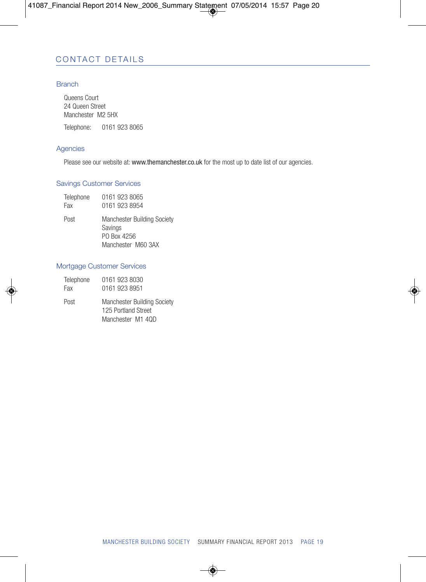## CONTACT DETAILS

#### **Branch**

Queens Court 24 Queen Street Manchester M2 5HX Telephone: 0161 923 8065

#### Agencies

Please see our website at: www.themanchester.co.uk for the most up to date list of our agencies.

#### Savings Customer Services

| Telephone | 0161 923 8065 |
|-----------|---------------|
| Fax       | 0161 923 8954 |

Post Manchester Building Society Savings PO Box 4256 Manchester M60 3AX

#### Mortgage Customer Services

| Telephone | 0161 923 8030                                                                  |
|-----------|--------------------------------------------------------------------------------|
| Fax       | 0161 923 8951                                                                  |
| Post      | <b>Manchester Building Society</b><br>125 Portland Street<br>Manchester M1 40D |